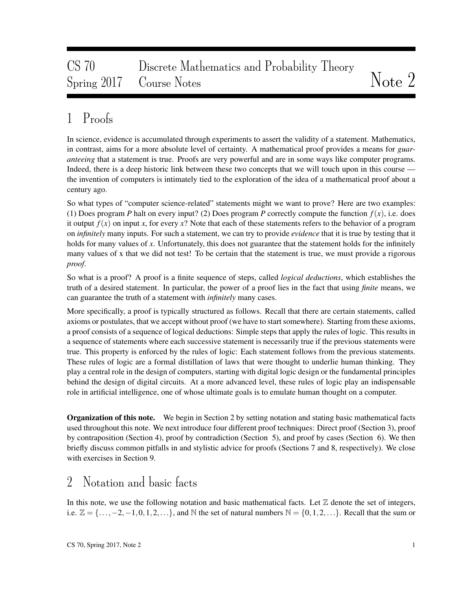# CS 70 Discrete Mathematics and Probability Theory Spring 2017 Course Notes Notes 2017 Course Notes

# 1 Proofs

In science, evidence is accumulated through experiments to assert the validity of a statement. Mathematics, in contrast, aims for a more absolute level of certainty. A mathematical proof provides a means for *guaranteeing* that a statement is true. Proofs are very powerful and are in some ways like computer programs. Indeed, there is a deep historic link between these two concepts that we will touch upon in this course the invention of computers is intimately tied to the exploration of the idea of a mathematical proof about a century ago.

So what types of "computer science-related" statements might we want to prove? Here are two examples: (1) Does program *P* halt on every input? (2) Does program *P* correctly compute the function  $f(x)$ , i.e. does it output  $f(x)$  on input x, for every  $x$ ? Note that each of these statements refers to the behavior of a program on *infinitely* many inputs. For such a statement, we can try to provide *evidence* that it is true by testing that it holds for many values of x. Unfortunately, this does not guarantee that the statement holds for the infinitely many values of x that we did not test! To be certain that the statement is true, we must provide a rigorous *proof*.

So what is a proof? A proof is a finite sequence of steps, called *logical deductions*, which establishes the truth of a desired statement. In particular, the power of a proof lies in the fact that using *finite* means, we can guarantee the truth of a statement with *infinitely* many cases.

More specifically, a proof is typically structured as follows. Recall that there are certain statements, called axioms or postulates, that we accept without proof (we have to start somewhere). Starting from these axioms, a proof consists of a sequence of logical deductions: Simple steps that apply the rules of logic. This results in a sequence of statements where each successive statement is necessarily true if the previous statements were true. This property is enforced by the rules of logic: Each statement follows from the previous statements. These rules of logic are a formal distillation of laws that were thought to underlie human thinking. They play a central role in the design of computers, starting with digital logic design or the fundamental principles behind the design of digital circuits. At a more advanced level, these rules of logic play an indispensable role in artificial intelligence, one of whose ultimate goals is to emulate human thought on a computer.

**Organization of this note.** We begin in Section 2 by setting notation and stating basic mathematical facts used throughout this note. We next introduce four different proof techniques: Direct proof (Section 3), proof by contraposition (Section 4), proof by contradiction (Section 5), and proof by cases (Section 6). We then briefly discuss common pitfalls in and stylistic advice for proofs (Sections 7 and 8, respectively). We close with exercises in Section 9.

### 2 Notation and basic facts

In this note, we use the following notation and basic mathematical facts. Let  $\mathbb Z$  denote the set of integers, i.e.  $\mathbb{Z} = \{\ldots, -2, -1, 0, 1, 2, \ldots\}$ , and N the set of natural numbers  $\mathbb{N} = \{0, 1, 2, \ldots\}$ . Recall that the sum or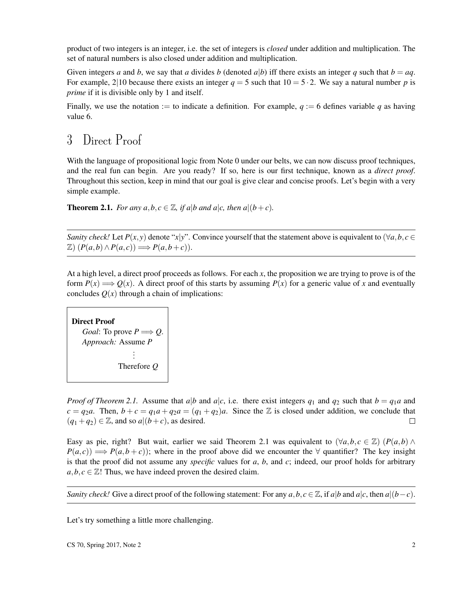product of two integers is an integer, i.e. the set of integers is *closed* under addition and multiplication. The set of natural numbers is also closed under addition and multiplication.

Given integers *a* and *b*, we say that *a* divides *b* (denoted *a*|*b*) iff there exists an integer *q* such that  $b = aa$ . For example, 2|10 because there exists an integer  $q = 5$  such that  $10 = 5 \cdot 2$ . We say a natural number p is *prime* if it is divisible only by 1 and itself.

Finally, we use the notation := to indicate a definition. For example,  $q := 6$  defines variable q as having value 6.

## 3 Direct Proof

With the language of propositional logic from Note 0 under our belts, we can now discuss proof techniques, and the real fun can begin. Are you ready? If so, here is our first technique, known as a *direct proof*. Throughout this section, keep in mind that our goal is give clear and concise proofs. Let's begin with a very simple example.

**Theorem 2.1.** *For any a, b, c*  $\in \mathbb{Z}$ *, if a*|*b and a*|*c, then a*|(*b*+*c*)*.* 

*Sanity check!* Let  $P(x, y)$  denote "*x*|*y*". Convince yourself that the statement above is equivalent to ( $\forall a, b, c \in$  $\mathbb{Z}$ )  $(P(a,b) \land P(a,c)) \Longrightarrow P(a,b+c)$ .

At a high level, a direct proof proceeds as follows. For each *x*, the proposition we are trying to prove is of the form  $P(x) \Longrightarrow Q(x)$ . A direct proof of this starts by assuming  $P(x)$  for a generic value of x and eventually concludes  $Q(x)$  through a chain of implications:

```
Direct Proof
Goal: To prove P \Longrightarrow Q.
Approach: Assume P
                  .
                  .
                  .
            Therefore Q
```
*Proof of Theorem 2.1.* Assume that *a*|*b* and *a*|*c*, i.e. there exist integers  $q_1$  and  $q_2$  such that  $b = q_1a$  and  $c = q_2a$ . Then,  $b + c = q_1a + q_2a = (q_1 + q_2)a$ . Since the Z is closed under addition, we conclude that  $(q_1+q_2) \in \mathbb{Z}$ , and so  $a|(b+c)$ , as desired.  $\Box$ 

Easy as pie, right? But wait, earlier we said Theorem 2.1 was equivalent to  $(\forall a, b, c \in \mathbb{Z})$  ( $P(a, b) \wedge$  $P(a, c)$   $\implies P(a, b + c)$ ; where in the proof above did we encounter the  $\forall$  quantifier? The key insight is that the proof did not assume any *specific* values for *a*, *b*, and *c*; indeed, our proof holds for arbitrary  $a, b, c \in \mathbb{Z}$ ! Thus, we have indeed proven the desired claim.

*Sanity check!* Give a direct proof of the following statement: For any  $a, b, c \in \mathbb{Z}$ , if  $a|b$  and  $a|c$ , then  $a|(b-c)$ .

Let's try something a little more challenging.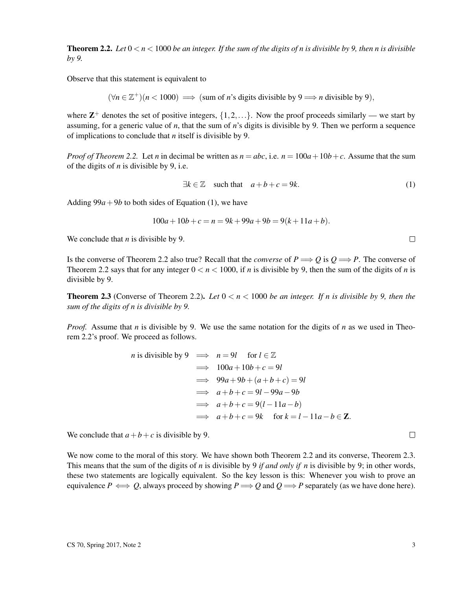**Theorem 2.2.** Let  $0 < n < 1000$  be an integer. If the sum of the digits of n is divisible by 9, then n is divisible *by 9.*

Observe that this statement is equivalent to

$$
(\forall n \in \mathbb{Z}^+)(n < 1000) \implies \text{(sum of } n\text{'s digits divisible by 9} \implies n \text{ divisible by 9}),
$$

where  $\mathbb{Z}^+$  denotes the set of positive integers,  $\{1, 2, ...\}$ . Now the proof proceeds similarly — we start by assuming, for a generic value of *n*, that the sum of *n*'s digits is divisible by 9. Then we perform a sequence of implications to conclude that *n* itself is divisible by 9.

*Proof of Theorem 2.2.* Let *n* in decimal be written as  $n = abc$ , i.e.  $n = 100a + 10b + c$ . Assume that the sum of the digits of *n* is divisible by 9, i.e.

$$
\exists k \in \mathbb{Z} \quad \text{such that} \quad a+b+c=9k. \tag{1}
$$

Adding  $99a + 9b$  to both sides of Equation (1), we have

$$
100a + 10b + c = n = 9k + 99a + 9b = 9(k + 11a + b).
$$

We conclude that *n* is divisible by 9.

Is the converse of Theorem 2.2 also true? Recall that the *converse* of  $P \Longrightarrow Q$  is  $Q \Longrightarrow P$ . The converse of Theorem 2.2 says that for any integer  $0 < n < 1000$ , if *n* is divisible by 9, then the sum of the digits of *n* is divisible by 9.

**Theorem 2.3** (Converse of Theorem 2.2). Let  $0 < n < 1000$  be an integer. If n is divisible by 9, then the *sum of the digits of n is divisible by 9.*

*Proof.* Assume that *n* is divisible by 9. We use the same notation for the digits of *n* as we used in Theorem 2.2's proof. We proceed as follows.

*n* is divisible by 9 
$$
\implies
$$
  $n = 9l$  for  $l \in \mathbb{Z}$   
\n $\implies 100a + 10b + c = 9l$   
\n $\implies 99a + 9b + (a+b+c) = 9l$   
\n $\implies a+b+c = 9l - 99a - 9b$   
\n $\implies a+b+c = 9(l-11a-b)$   
\n $\implies a+b+c = 9k$  for  $k = l-11a-b \in \mathbb{Z}$ .

We conclude that  $a + b + c$  is divisible by 9.

We now come to the moral of this story. We have shown both Theorem 2.2 and its converse, Theorem 2.3. This means that the sum of the digits of *n* is divisible by 9 *if and only if n* is divisible by 9; in other words, these two statements are logically equivalent. So the key lesson is this: Whenever you wish to prove an equivalence  $P \iff Q$ , always proceed by showing  $P \Longrightarrow Q$  and  $Q \Longrightarrow P$  separately (as we have done here).

 $\Box$ 

 $\Box$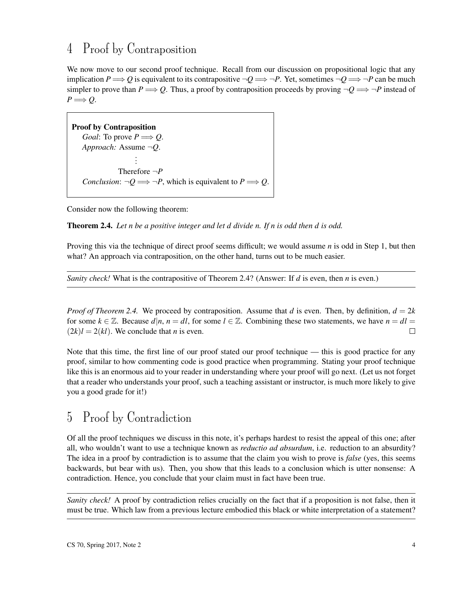# 4 Proof by Contraposition

We now move to our second proof technique. Recall from our discussion on propositional logic that any implication  $P \Longrightarrow Q$  is equivalent to its contrapositive  $\neg Q \Longrightarrow \neg P$ . Yet, sometimes  $\neg Q \Longrightarrow \neg P$  can be much simpler to prove than  $P \Longrightarrow Q$ . Thus, a proof by contraposition proceeds by proving  $\neg Q \Longrightarrow \neg P$  instead of  $P \Longrightarrow Q$ .

Proof by Contraposition *Goal*: To prove  $P \Longrightarrow Q$ . *Approach:* Assume ¬*Q*. . . . Therefore ¬*P Conclusion*:  $\neg Q \Longrightarrow \neg P$ , which is equivalent to  $P \Longrightarrow Q$ .

Consider now the following theorem:

Theorem 2.4. *Let n be a positive integer and let d divide n. If n is odd then d is odd.*

Proving this via the technique of direct proof seems difficult; we would assume *n* is odd in Step 1, but then what? An approach via contraposition, on the other hand, turns out to be much easier.

*Sanity check!* What is the contrapositive of Theorem 2.4? (Answer: If *d* is even, then *n* is even.)

*Proof of Theorem 2.4.* We proceed by contraposition. Assume that *d* is even. Then, by definition,  $d = 2k$ for some  $k \in \mathbb{Z}$ . Because  $d|n, n = dt$ , for some  $l \in \mathbb{Z}$ . Combining these two statements, we have  $n = dt$  $(2k)l = 2(kl)$ . We conclude that *n* is even.  $\Box$ 

Note that this time, the first line of our proof stated our proof technique — this is good practice for any proof, similar to how commenting code is good practice when programming. Stating your proof technique like this is an enormous aid to your reader in understanding where your proof will go next. (Let us not forget that a reader who understands your proof, such a teaching assistant or instructor, is much more likely to give you a good grade for it!)

## 5 Proof by Contradiction

Of all the proof techniques we discuss in this note, it's perhaps hardest to resist the appeal of this one; after all, who wouldn't want to use a technique known as *reductio ad absurdum*, i.e. reduction to an absurdity? The idea in a proof by contradiction is to assume that the claim you wish to prove is *false* (yes, this seems backwards, but bear with us). Then, you show that this leads to a conclusion which is utter nonsense: A contradiction. Hence, you conclude that your claim must in fact have been true.

*Sanity check!* A proof by contradiction relies crucially on the fact that if a proposition is not false, then it must be true. Which law from a previous lecture embodied this black or white interpretation of a statement?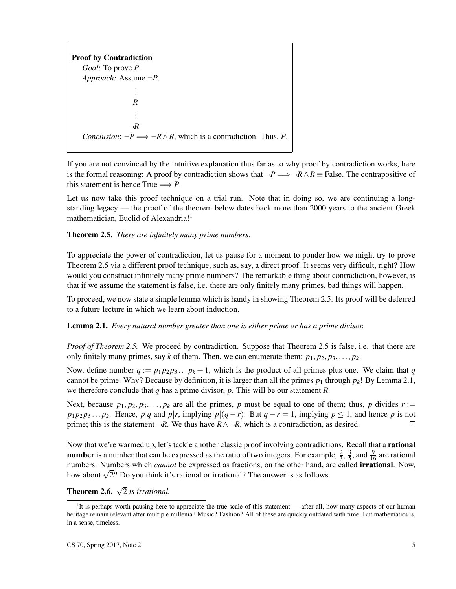Proof by Contradiction *Goal*: To prove *P*. *Approach:* Assume ¬*P*. . . . *R* . . .  $\neg R$ *Conclusion*:  $\neg P \Longrightarrow \neg R \wedge R$ , which is a contradiction. Thus, *P*.

If you are not convinced by the intuitive explanation thus far as to why proof by contradiction works, here is the formal reasoning: A proof by contradiction shows that  $\neg P \Longrightarrow \neg R \wedge R \equiv \text{False}$ . The contrapositive of this statement is hence True  $\Longrightarrow P$ .

Let us now take this proof technique on a trial run. Note that in doing so, we are continuing a longstanding legacy — the proof of the theorem below dates back more than 2000 years to the ancient Greek mathematician, Euclid of Alexandria!<sup>1</sup>

#### Theorem 2.5. *There are infinitely many prime numbers.*

To appreciate the power of contradiction, let us pause for a moment to ponder how we might try to prove Theorem 2.5 via a different proof technique, such as, say, a direct proof. It seems very difficult, right? How would you construct infinitely many prime numbers? The remarkable thing about contradiction, however, is that if we assume the statement is false, i.e. there are only finitely many primes, bad things will happen.

To proceed, we now state a simple lemma which is handy in showing Theorem 2.5. Its proof will be deferred to a future lecture in which we learn about induction.

Lemma 2.1. *Every natural number greater than one is either prime or has a prime divisor.*

*Proof of Theorem 2.5.* We proceed by contradiction. Suppose that Theorem 2.5 is false, i.e. that there are only finitely many primes, say *k* of them. Then, we can enumerate them:  $p_1, p_2, p_3, \ldots, p_k$ .

Now, define number  $q := p_1 p_2 p_3 \dots p_k + 1$ , which is the product of all primes plus one. We claim that *q* cannot be prime. Why? Because by definition, it is larger than all the primes  $p_1$  through  $p_k$ ! By Lemma 2.1, we therefore conclude that *q* has a prime divisor, *p*. This will be our statement *R*.

Next, because  $p_1, p_2, p_3, \ldots, p_k$  are all the primes, p must be equal to one of them; thus, p divides  $r :=$  $p_1 p_2 p_3 ... p_k$ . Hence,  $p|q$  and  $p|r$ , implying  $p|(q-r)$ . But  $q-r=1$ , implying  $p \le 1$ , and hence *p* is not prime; this is the statement  $\neg R$ . We thus have  $R \land \neg R$ , which is a contradiction, as desired.  $\Box$ 

Now that we're warmed up, let's tackle another classic proof involving contradictions. Recall that a **rational number** is a number that can be expressed as the ratio of two integers. For example,  $\frac{2}{3}$ ,  $\frac{3}{5}$  $\frac{3}{5}$ , and  $\frac{9}{16}$  are rational numbers. Numbers which *cannot* be expressed as fractions, on the other hand, are called irrational. Now, numbers. Numbers which *cannot* be expressed as fractions, on the other hand, as<br>how about  $\sqrt{2}$ ? Do you think it's rational or irrational? The answer is as follows.

**Theorem 2.6.**  $\sqrt{2}$  *is irrational.* 

<sup>&</sup>lt;sup>1</sup>It is perhaps worth pausing here to appreciate the true scale of this statement — after all, how many aspects of our human heritage remain relevant after multiple millenia? Music? Fashion? All of these are quickly outdated with time. But mathematics is, in a sense, timeless.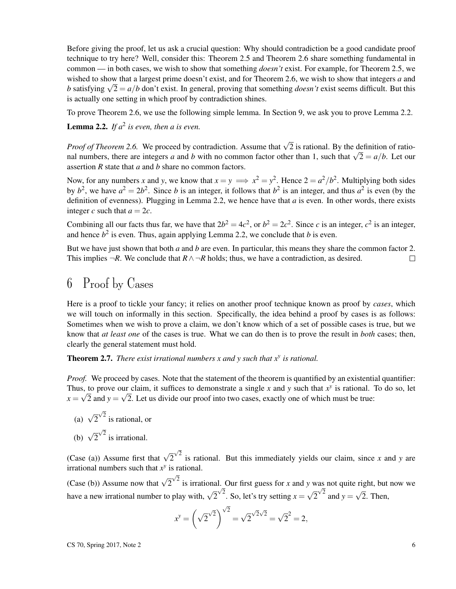Before giving the proof, let us ask a crucial question: Why should contradiction be a good candidate proof technique to try here? Well, consider this: Theorem 2.5 and Theorem 2.6 share something fundamental in common — in both cases, we wish to show that something *doesn't* exist. For example, for Theorem 2.5, we wished to show that a largest prime doesn't exist, and for Theorem 2.6, we wish to show that integers *a* and wished to show that a largest prime doesn't exist, and for Theorem 2.6, we wish to show that integers a and b satisfying  $\sqrt{2} = a/b$  don't exist. In general, proving that something *doesn't* exist seems difficult. But this is actually one setting in which proof by contradiction shines.

To prove Theorem 2.6, we use the following simple lemma. In Section 9, we ask you to prove Lemma 2.2.

**Lemma 2.2.** If  $a^2$  is even, then a is even.

*Proof of Theorem 2.6.* We proceed by contradiction. Assume that  $\sqrt{2}$  is rational. By the definition of ratio*n neorem* 2.0. We proceed by contradiction. Assume that  $\sqrt{2}$  is rational. By the definition of rational numbers, there are integers *a* and *b* with no common factor other than 1, such that  $\sqrt{2} = a/b$ . Let our assertion *R* state that *a* and *b* share no common factors.

Now, for any numbers *x* and *y*, we know that  $x = y \implies x^2 = y^2$ . Hence  $2 = a^2/b^2$ . Multiplying both sides by  $b^2$ , we have  $a^2 = 2b^2$ . Since *b* is an integer, it follows that  $b^2$  is an integer, and thus  $a^2$  is even (by the definition of evenness). Plugging in Lemma 2.2, we hence have that *a* is even. In other words, there exists integer *c* such that  $a = 2c$ .

Combining all our facts thus far, we have that  $2b^2 = 4c^2$ , or  $b^2 = 2c^2$ . Since *c* is an integer,  $c^2$  is an integer, and hence  $b^2$  is even. Thus, again applying Lemma 2.2, we conclude that *b* is even.

But we have just shown that both *a* and *b* are even. In particular, this means they share the common factor 2. This implies  $\neg R$ . We conclude that  $R \land \neg R$  holds; thus, we have a contradiction, as desired.  $\Box$ 

### 6 Proof by Cases

Here is a proof to tickle your fancy; it relies on another proof technique known as proof by *cases*, which we will touch on informally in this section. Specifically, the idea behind a proof by cases is as follows: Sometimes when we wish to prove a claim, we don't know which of a set of possible cases is true, but we know that *at least one* of the cases is true. What we can do then is to prove the result in *both* cases; then, clearly the general statement must hold.

Theorem 2.7. *There exist irrational numbers x and y such that x<sup>y</sup> is rational.*

*Proof.* We proceed by cases. Note that the statement of the theorem is quantified by an existential quantifier: Thus, to prove our claim, it suffices to demonstrate a single *x* and *y* such that  $x^y$  is rational. To do so, let  $x = \sqrt{2}$  and  $y = \sqrt{2}$ . Let us divide our proof into two cases, exactly one of which must be true:

(a)  $\sqrt{2}$  $\sqrt{2}$  is rational, or (b)  $\sqrt{2}$  $\sqrt{2}$  is irrational.

(Case (a)) Assume first that  $\sqrt{2}$  $\sqrt{2}$  is rational. But this immediately yields our claim, since *x* and *y* are irrational numbers such that  $x^y$  is rational.

(Case (b)) Assume now that  $\sqrt{2}$  $\sqrt{2}$  is irrational. Our first guess for *x* and *y* was not quite right, but now we have a new irrational number to play with,  $\sqrt{2}^{\sqrt{2}}$ . So, let's try setting *x* = √  $\overline{2}^{\sqrt{2}}$  and  $y =$ √ 2. Then,

$$
x^{y} = \left(\sqrt{2}^{\sqrt{2}}\right)^{\sqrt{2}} = \sqrt{2}^{\sqrt{2}\sqrt{2}} = \sqrt{2}^{2} = 2,
$$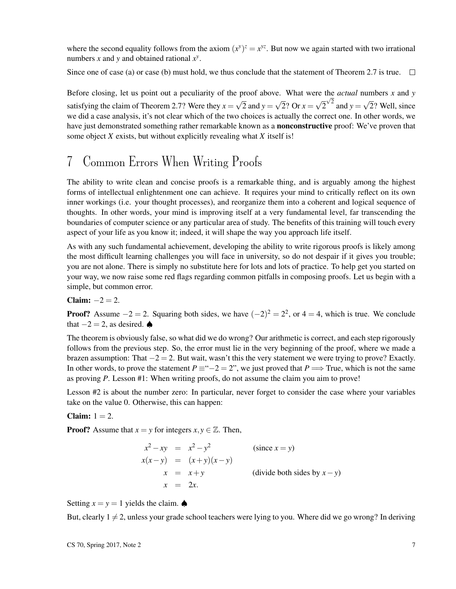where the second equality follows from the axiom  $(x^y)^z = x^{yz}$ . But now we again started with two irrational numbers *x* and *y* and obtained rational *x y* .

Since one of case (a) or case (b) must hold, we thus conclude that the statement of Theorem 2.7 is true.  $\Box$ 

Before closing, let us point out a peculiarity of the proof above. What were the *actual* numbers *x* and *y* satisfying the claim of Theorem 2.7? Were they  $x =$ √ 2 and  $y =$ √ 2? Or  $x =$ √  $\overline{2}^{\sqrt{2}}$  and  $y =$ √ 2? Well, since we did a case analysis, it's not clear which of the two choices is actually the correct one. In other words, we have just demonstrated something rather remarkable known as a **nonconstructive** proof: We've proven that some object *X* exists, but without explicitly revealing what *X* itself is!

### 7 Common Errors When Writing Proofs

The ability to write clean and concise proofs is a remarkable thing, and is arguably among the highest forms of intellectual enlightenment one can achieve. It requires your mind to critically reflect on its own inner workings (i.e. your thought processes), and reorganize them into a coherent and logical sequence of thoughts. In other words, your mind is improving itself at a very fundamental level, far transcending the boundaries of computer science or any particular area of study. The benefits of this training will touch every aspect of your life as you know it; indeed, it will shape the way you approach life itself.

As with any such fundamental achievement, developing the ability to write rigorous proofs is likely among the most difficult learning challenges you will face in university, so do not despair if it gives you trouble; you are not alone. There is simply no substitute here for lots and lots of practice. To help get you started on your way, we now raise some red flags regarding common pitfalls in composing proofs. Let us begin with a simple, but common error.

Claim:  $-2 = 2$ .

**Proof?** Assume  $-2 = 2$ . Squaring both sides, we have  $(-2)^2 = 2^2$ , or  $4 = 4$ , which is true. We conclude that  $-2 = 2$ , as desired.  $\spadesuit$ 

The theorem is obviously false, so what did we do wrong? Our arithmetic is correct, and each step rigorously follows from the previous step. So, the error must lie in the very beginning of the proof, where we made a brazen assumption: That  $-2 = 2$ . But wait, wasn't this the very statement we were trying to prove? Exactly. In other words, to prove the statement  $P \equiv -2 = 2$ ", we just proved that  $P \Longrightarrow$  True, which is not the same as proving *P*. Lesson #1: When writing proofs, do not assume the claim you aim to prove!

Lesson #2 is about the number zero: In particular, never forget to consider the case where your variables take on the value 0. Otherwise, this can happen:

Claim:  $1 = 2$ .

**Proof?** Assume that  $x = y$  for integers  $x, y \in \mathbb{Z}$ . Then,

$$
x^{2}-xy = x^{2}-y^{2}
$$
 (since  $x = y$ )  
\n
$$
x(x-y) = (x+y)(x-y)
$$
  
\n
$$
x = x+y
$$
 (divide both sides by  $x - y$ )  
\n
$$
x = 2x.
$$

Setting  $x = y = 1$  yields the claim.  $\spadesuit$ 

But, clearly  $1 \neq 2$ , unless your grade school teachers were lying to you. Where did we go wrong? In deriving